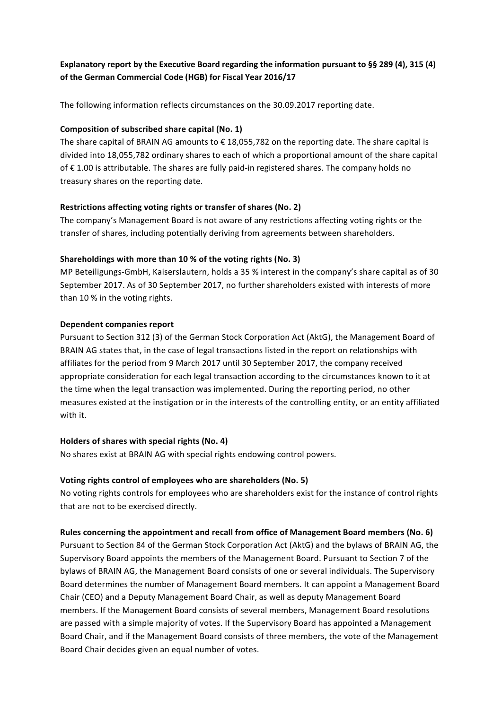# **Explanatory report by the Executive Board regarding the information pursuant to §§ 289 (4), 315 (4) of the German Commercial Code (HGB) for Fiscal Year 2016/17**

The following information reflects circumstances on the 30.09.2017 reporting date.

### **Composition of subscribed share capital (No. 1)**

The share capital of BRAIN AG amounts to  $\epsilon$  18,055,782 on the reporting date. The share capital is divided into 18,055,782 ordinary shares to each of which a proportional amount of the share capital of €1.00 is attributable. The shares are fully paid-in registered shares. The company holds no treasury shares on the reporting date.

### **Restrictions affecting voting rights or transfer of shares (No. 2)**

The company's Management Board is not aware of any restrictions affecting voting rights or the transfer of shares, including potentially deriving from agreements between shareholders.

### **Shareholdings with more than 10 % of the voting rights (No. 3)**

MP Beteiligungs-GmbH, Kaiserslautern, holds a 35 % interest in the company's share capital as of 30 September 2017. As of 30 September 2017, no further shareholders existed with interests of more than  $10$  % in the voting rights.

### **Dependent companies report**

Pursuant to Section 312 (3) of the German Stock Corporation Act (AktG), the Management Board of BRAIN AG states that, in the case of legal transactions listed in the report on relationships with affiliates for the period from 9 March 2017 until 30 September 2017, the company received appropriate consideration for each legal transaction according to the circumstances known to it at the time when the legal transaction was implemented. During the reporting period, no other measures existed at the instigation or in the interests of the controlling entity, or an entity affiliated with it. 

#### **Holders of shares with special rights (No. 4)**

No shares exist at BRAIN AG with special rights endowing control powers.

#### **Voting rights control of employees who are shareholders (No. 5)**

No voting rights controls for employees who are shareholders exist for the instance of control rights that are not to be exercised directly.

#### **Rules concerning the appointment and recall from office of Management Board members (No. 6)**

Pursuant to Section 84 of the German Stock Corporation Act (AktG) and the bylaws of BRAIN AG, the Supervisory Board appoints the members of the Management Board. Pursuant to Section 7 of the bylaws of BRAIN AG, the Management Board consists of one or several individuals. The Supervisory Board determines the number of Management Board members. It can appoint a Management Board Chair (CEO) and a Deputy Management Board Chair, as well as deputy Management Board members. If the Management Board consists of several members, Management Board resolutions are passed with a simple majority of votes. If the Supervisory Board has appointed a Management Board Chair, and if the Management Board consists of three members, the vote of the Management Board Chair decides given an equal number of votes.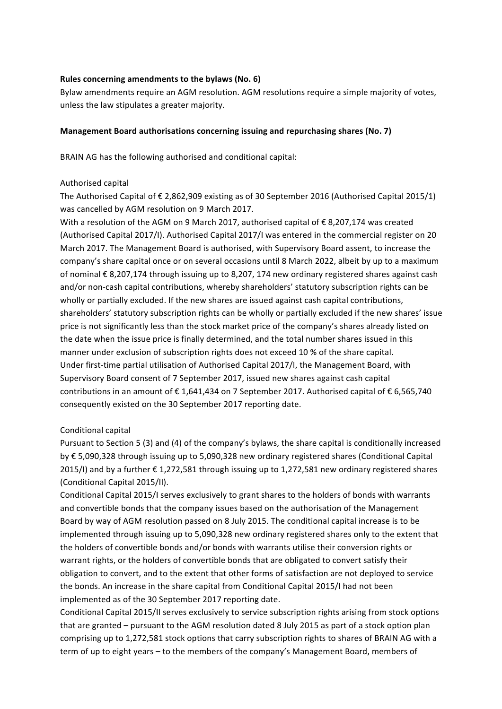### Rules concerning amendments to the bylaws (No. 6)

Bylaw amendments require an AGM resolution. AGM resolutions require a simple majority of votes, unless the law stipulates a greater majority.

### **Management Board authorisations concerning issuing and repurchasing shares (No. 7)**

BRAIN AG has the following authorised and conditional capital:

### Authorised capital

The Authorised Capital of  $€$  2,862,909 existing as of 30 September 2016 (Authorised Capital 2015/1) was cancelled by AGM resolution on 9 March 2017.

With a resolution of the AGM on 9 March 2017, authorised capital of  $\epsilon$  8,207,174 was created (Authorised Capital 2017/I). Authorised Capital 2017/I was entered in the commercial register on 20 March 2017. The Management Board is authorised, with Supervisory Board assent, to increase the company's share capital once or on several occasions until 8 March 2022, albeit by up to a maximum of nominal  $\epsilon$  8,207,174 through issuing up to 8,207, 174 new ordinary registered shares against cash and/or non-cash capital contributions, whereby shareholders' statutory subscription rights can be wholly or partially excluded. If the new shares are issued against cash capital contributions, shareholders' statutory subscription rights can be wholly or partially excluded if the new shares' issue price is not significantly less than the stock market price of the company's shares already listed on the date when the issue price is finally determined, and the total number shares issued in this manner under exclusion of subscription rights does not exceed 10 % of the share capital. Under first-time partial utilisation of Authorised Capital 2017/I, the Management Board, with Supervisory Board consent of 7 September 2017, issued new shares against cash capital contributions in an amount of  $\epsilon$  1,641,434 on 7 September 2017. Authorised capital of  $\epsilon$  6,565,740 consequently existed on the 30 September 2017 reporting date.

# Conditional capital

Pursuant to Section 5 (3) and (4) of the company's bylaws, the share capital is conditionally increased by € 5,090,328 through issuing up to 5,090,328 new ordinary registered shares (Conditional Capital 2015/I) and by a further  $\epsilon$  1,272,581 through issuing up to 1,272,581 new ordinary registered shares (Conditional Capital 2015/II).

Conditional Capital 2015/I serves exclusively to grant shares to the holders of bonds with warrants and convertible bonds that the company issues based on the authorisation of the Management Board by way of AGM resolution passed on 8 July 2015. The conditional capital increase is to be implemented through issuing up to 5,090,328 new ordinary registered shares only to the extent that the holders of convertible bonds and/or bonds with warrants utilise their conversion rights or warrant rights, or the holders of convertible bonds that are obligated to convert satisfy their obligation to convert, and to the extent that other forms of satisfaction are not deployed to service the bonds. An increase in the share capital from Conditional Capital 2015/I had not been implemented as of the 30 September 2017 reporting date.

Conditional Capital 2015/II serves exclusively to service subscription rights arising from stock options that are granted - pursuant to the AGM resolution dated 8 July 2015 as part of a stock option plan comprising up to 1,272,581 stock options that carry subscription rights to shares of BRAIN AG with a term of up to eight years – to the members of the company's Management Board, members of